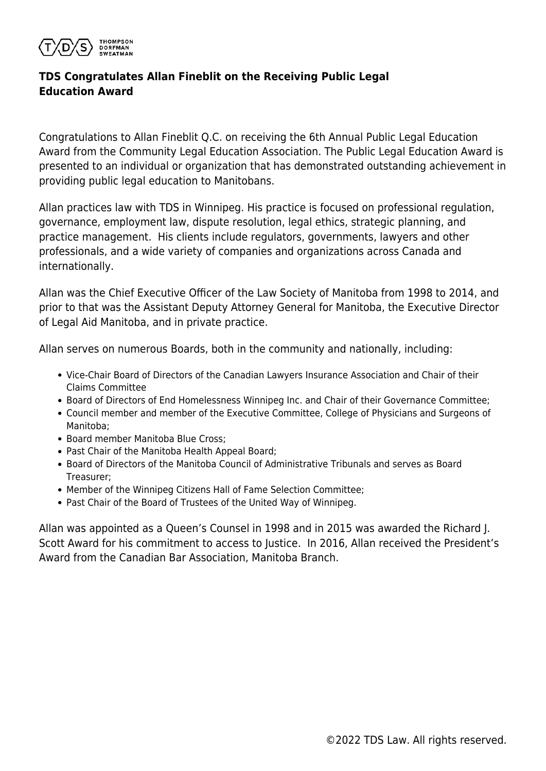

## **TDS Congratulates Allan Fineblit on the Receiving Public Legal Education Award**

Congratulations to Allan Fineblit Q.C. on receiving the 6th Annual Public Legal Education Award from the Community Legal Education Association. The Public Legal Education Award is presented to an individual or organization that has demonstrated outstanding achievement in providing public legal education to Manitobans.

Allan practices law with TDS in Winnipeg. His practice is focused on professional regulation, governance, employment law, dispute resolution, legal ethics, strategic planning, and practice management. His clients include regulators, governments, lawyers and other professionals, and a wide variety of companies and organizations across Canada and internationally.

Allan was the Chief Executive Officer of the Law Society of Manitoba from 1998 to 2014, and prior to that was the Assistant Deputy Attorney General for Manitoba, the Executive Director of Legal Aid Manitoba, and in private practice.

Allan serves on numerous Boards, both in the community and nationally, including:

- Vice-Chair Board of Directors of the Canadian Lawyers Insurance Association and Chair of their Claims Committee
- **Board of Directors of End Homelessness Winnipeg Inc. and Chair of their Governance Committee;**
- Council member and member of the Executive Committee, College of Physicians and Surgeons of Manitoba;
- Board member Manitoba Blue Cross:
- Past Chair of the Manitoba Health Appeal Board;
- Board of Directors of the Manitoba Council of Administrative Tribunals and serves as Board Treasurer;
- Member of the Winnipeg Citizens Hall of Fame Selection Committee;
- Past Chair of the Board of Trustees of the United Way of Winnipeg.

Allan was appointed as a Queen's Counsel in 1998 and in 2015 was awarded the Richard J. Scott Award for his commitment to access to Justice. In 2016, Allan received the President's Award from the Canadian Bar Association, Manitoba Branch.